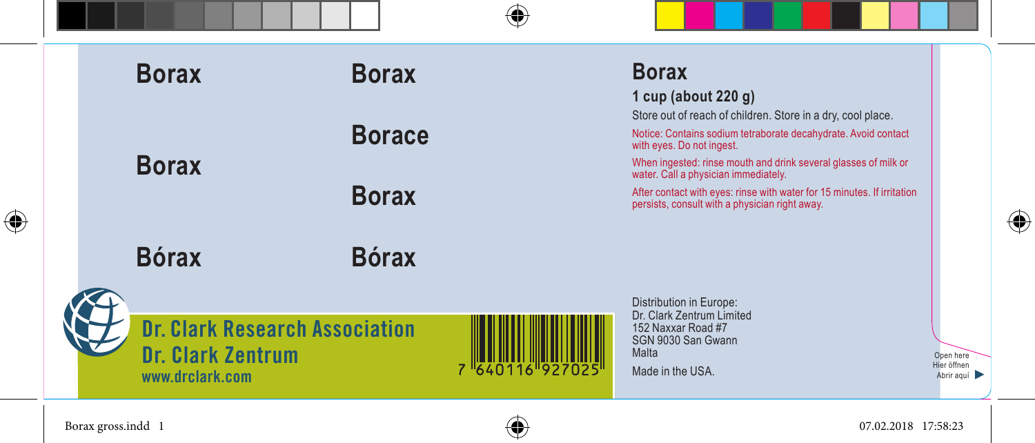| ⊕ |  |  | <b>Borax</b>                                                                         | <b>Borax</b>  |                 | <b>Borax</b><br>1 cup (about $220$ g)                                                                                                                                                                                                                                 |                                        |
|---|--|--|--------------------------------------------------------------------------------------|---------------|-----------------|-----------------------------------------------------------------------------------------------------------------------------------------------------------------------------------------------------------------------------------------------------------------------|----------------------------------------|
|   |  |  | <b>Borax</b>                                                                         | <b>Borace</b> |                 | Store out of reach of children. Store in a dry, cool place.<br>Notice: Contains sodium tetraborate decahydrate. Avoid contact<br>with eyes. Do not ingest.<br>When ingested: rinse mouth and drink several glasses of milk or<br>water. Call a physician immediately. |                                        |
|   |  |  |                                                                                      | <b>Borax</b>  |                 | After contact with eyes: rinse with water for 15 minutes. If irritation<br>persists, consult with a physician right away.                                                                                                                                             |                                        |
|   |  |  | <b>Bórax</b>                                                                         | <b>Bórax</b>  |                 |                                                                                                                                                                                                                                                                       |                                        |
|   |  |  | <b>Dr. Clark Research Association</b><br><b>Dr. Clark Zentrum</b><br>www.drclark.com |               | 7 640116 927025 | Distribution in Europe:<br>Dr. Clark Zentrum Limited<br>152 Naxxar Road #7<br>SGN 9030 San Gwann<br>Malta<br>Made in the USA.                                                                                                                                         | Open here<br>Hier öffnen<br>Abrir aquí |

Borax gross.indd 1 07.02.2018 17:58:23

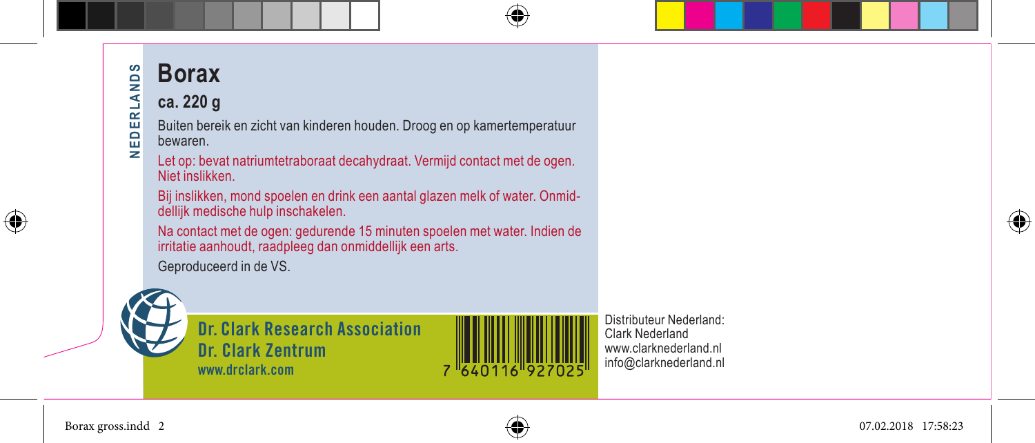# **Borax NEDERLANDS NEDERLANDS**

#### **ca. 220 g**

Buiten bereik en zicht van kinderen houden. Droog en op kamertemperatuur bewaren.

Let op: bevat natriumtetraboraat decahydraat. Vermijd contact met de ogen. Niet inslikken.

Bij inslikken, mond spoelen en drink een aantal glazen melk of water. Onmiddellijk medische hulp inschakelen.

Na contact met de ogen: gedurende 15 minuten spoelen met water. Indien de irritatie aanhoudt, raadpleeg dan onmiddellijk een arts.

Geproduceerd in de VS.



**Dr. Clark Research Association Dr. Clark Zentrum www.drclark.com**



Distributeur Nederland: Clark Nederland www.clarknederland.nl info@clarknederland.nl



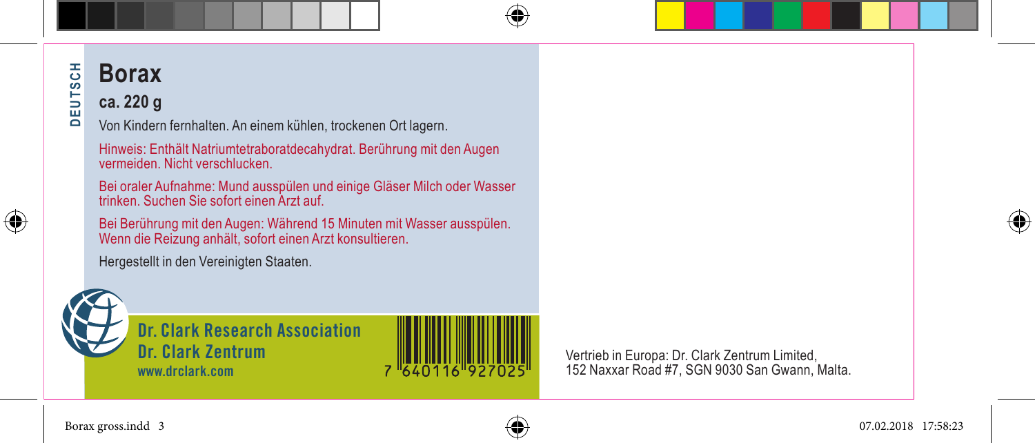## DEUTSCH **Borax DEUTSCH**

### **ca. 220 g**

Von Kindern fernhalten. An einem kühlen, trockenen Ort lagern.

Hinweis: Enthält Natriumtetraboratdecahydrat. Berührung mit den Augen vermeiden. Nicht verschlucken.

Bei oraler Aufnahme: Mund ausspülen und einige Gläser Milch oder Wasser trinken. Suchen Sie sofort einen Arzt auf.

Bei Berührung mit den Augen: Während 15 Minuten mit Wasser ausspülen. Wenn die Reizung anhält, sofort einen Arzt konsultieren.

Hergestellt in den Vereinigten Staaten.



⊕

**Dr. Clark Research Association Dr. Clark Zentrum www.drclark.com**



Vertrieb in Europa: Dr. Clark Zentrum Limited, 152 Naxxar Road #7, SGN 9030 San Gwann, Malta.



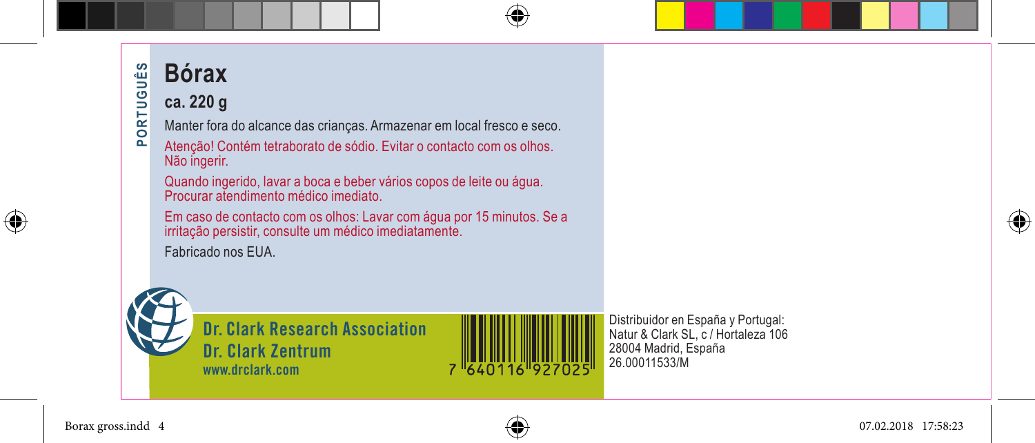#### UÊS **Bórax** PUT

**PORTUGUÊS**

POR<sup>-</sup>

### **ca. 220 g**

Manter fora do alcance das crianças. Armazenar em local fresco e seco.

Atenção! Contém tetraborato de sódio. Evitar o contacto com os olhos. Não ingerir.

Quando ingerido, lavar a boca e beber vários copos de leite ou água. Procurar atendimento médico imediato.

Em caso de contacto com os olhos: Lavar com água por 15 minutos. Se a irritação persistir, consulte um médico imediatamente.

Fabricado nos EUA.



**Dr. Clark Research Association Dr. Clark Zentrum www.drclark.com**



Distribuidor en España y Portugal: Natur & Clark SL, c / Hortaleza 106 28004 Madrid, España 26.00011533/M



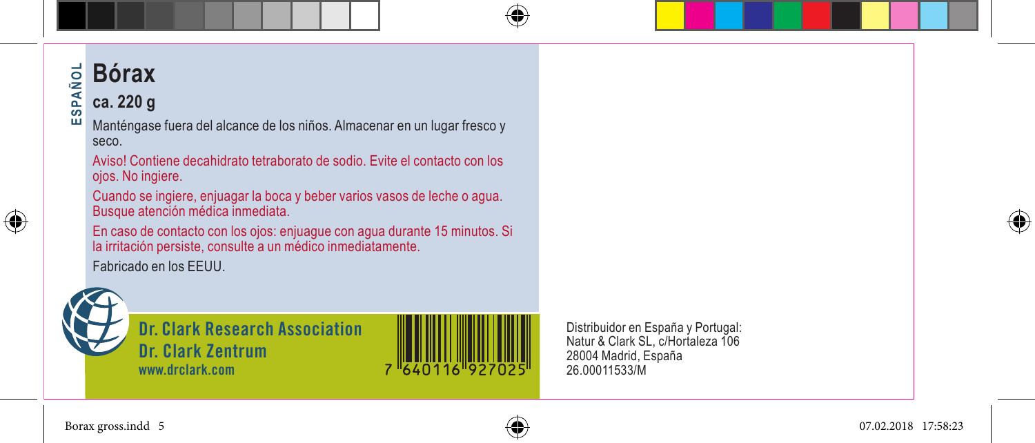### **Bórax** ÑOL **ESPAÑOL**

#### **AdS ca. 220 g**

ш Manténgase fuera del alcance de los niños. Almacenar en un lugar fresco y seco.

Aviso! Contiene decahidrato tetraborato de sodio. Evite el contacto con los ojos. No ingiere.

Cuando se ingiere, enjuagar la boca y beber varios vasos de leche o agua. Busque atención médica inmediata.

En caso de contacto con los ojos: enjuague con agua durante 15 minutos. Si la irritación persiste, consulte a un médico inmediatamente.

Fabricado en los EEUU.



⊕

**Dr. Clark Research Association Dr. Clark Zentrum www.drclark.com**

Distribuidor en España y Portugal: Natur & Clark SL, c/Hortaleza 106 28004 Madrid, España 26.00011533/M





⊕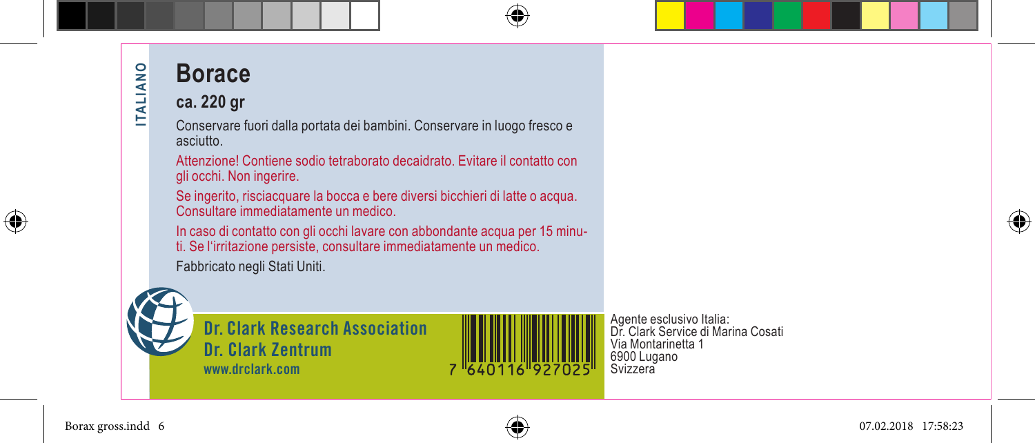# **Borace**

#### **ca. 220 gr**

Conservare fuori dalla portata dei bambini. Conservare in luogo fresco e asciutto.

Attenzione! Contiene sodio tetraborato decaidrato. Evitare il contatto con gli occhi. Non ingerire.

Se ingerito, risciacquare la bocca e bere diversi bicchieri di latte o acqua. Consultare immediatamente un medico.

In caso di contatto con gli occhi lavare con abbondante acqua per 15 minuti. Se l'irritazione persiste, consultare immediatamente un medico.

Fabbricato negli Stati Uniti.



**ITALIANO** 

**ITALIANO** 

**Dr. Clark Research Association Dr. Clark Zentrum www.drclark.com**



⊕

Agente esclusivo Italia: Dr. Clark Service di Marina Cosati Via Montarinetta 1 6900 Lugano Svizzera



Borax gross.indd 6 07.02.2018 17:58:23

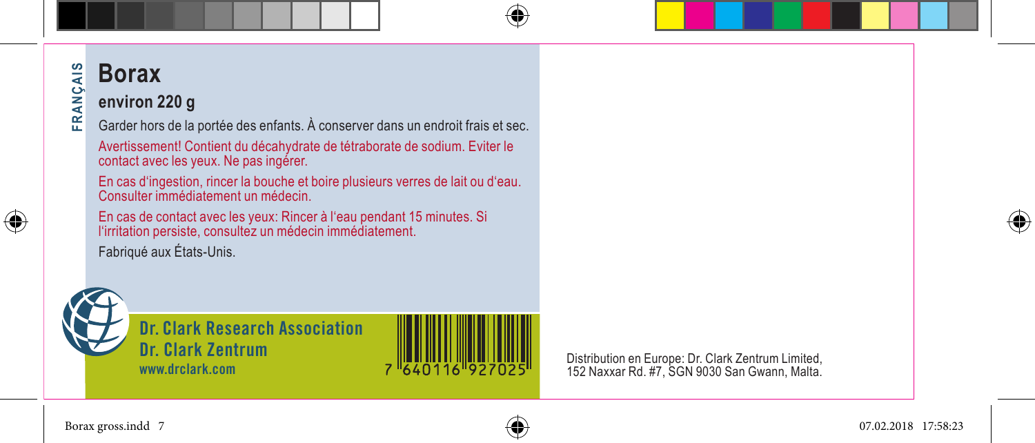## 4<sub>IS</sub> **Borax FRANÇAIS**

#### AN Ç. **environ 220 g**

운 Garder hors de la portée des enfants. À conserver dans un endroit frais et sec.

Avertissement! Contient du décahydrate de tétraborate de sodium. Eviter le contact avec les yeux. Ne pas ingérer.

En cas d'ingestion, rincer la bouche et boire plusieurs verres de lait ou d'eau. Consulter immédiatement un médecin.

En cas de contact avec les yeux: Rincer à l'eau pendant 15 minutes. Si l'irritation persiste, consultez un médecin immédiatement.

Fabriqué aux États-Unis.



⊕

**Dr. Clark Research Association Dr. Clark Zentrum www.drclark.com**

Distribution en Europe: Dr. Clark Zentrum Limited, 152 Naxxar Rd. #7, SGN 9030 San Gwann, Malta.